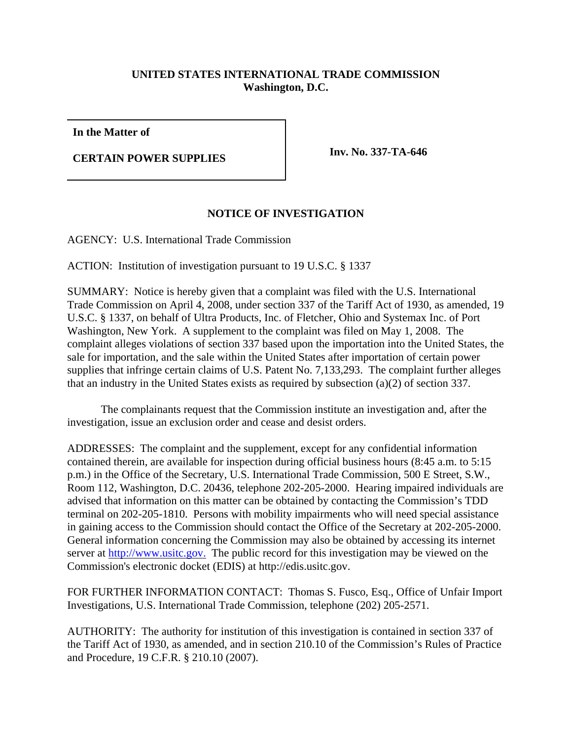## **UNITED STATES INTERNATIONAL TRADE COMMISSION Washington, D.C.**

**In the Matter of**

**CERTAIN POWER SUPPLIES Inv. No. 337-TA-646**

## **NOTICE OF INVESTIGATION**

AGENCY: U.S. International Trade Commission

ACTION: Institution of investigation pursuant to 19 U.S.C. § 1337

SUMMARY: Notice is hereby given that a complaint was filed with the U.S. International Trade Commission on April 4, 2008, under section 337 of the Tariff Act of 1930, as amended, 19 U.S.C. § 1337, on behalf of Ultra Products, Inc. of Fletcher, Ohio and Systemax Inc. of Port Washington, New York. A supplement to the complaint was filed on May 1, 2008. The complaint alleges violations of section 337 based upon the importation into the United States, the sale for importation, and the sale within the United States after importation of certain power supplies that infringe certain claims of U.S. Patent No. 7,133,293. The complaint further alleges that an industry in the United States exists as required by subsection (a)(2) of section 337.

The complainants request that the Commission institute an investigation and, after the investigation, issue an exclusion order and cease and desist orders.

ADDRESSES: The complaint and the supplement, except for any confidential information contained therein, are available for inspection during official business hours (8:45 a.m. to 5:15 p.m.) in the Office of the Secretary, U.S. International Trade Commission, 500 E Street, S.W., Room 112, Washington, D.C. 20436, telephone 202-205-2000. Hearing impaired individuals are advised that information on this matter can be obtained by contacting the Commission's TDD terminal on 202-205-1810. Persons with mobility impairments who will need special assistance in gaining access to the Commission should contact the Office of the Secretary at 202-205-2000. General information concerning the Commission may also be obtained by accessing its internet server at http://www.usitc.gov. The public record for this investigation may be viewed on the Commission's electronic docket (EDIS) at http://edis.usitc.gov.

FOR FURTHER INFORMATION CONTACT: Thomas S. Fusco, Esq., Office of Unfair Import Investigations, U.S. International Trade Commission, telephone (202) 205-2571.

AUTHORITY: The authority for institution of this investigation is contained in section 337 of the Tariff Act of 1930, as amended, and in section 210.10 of the Commission's Rules of Practice and Procedure, 19 C.F.R. § 210.10 (2007).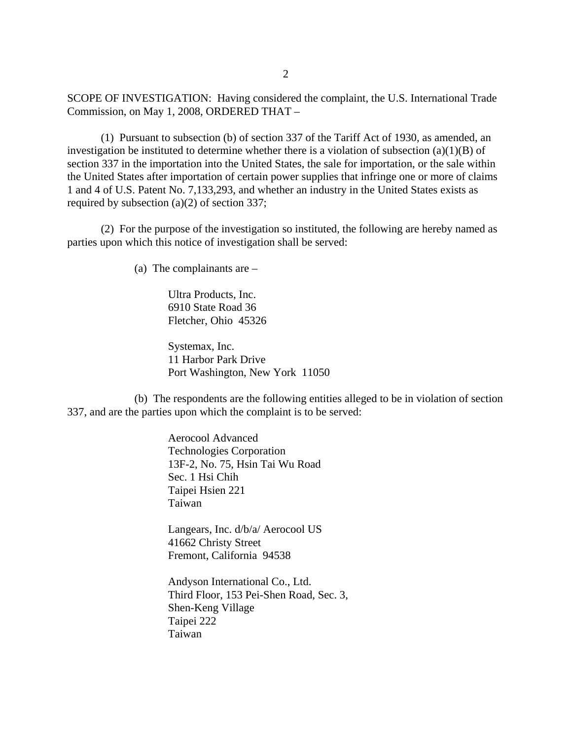SCOPE OF INVESTIGATION: Having considered the complaint, the U.S. International Trade Commission, on May 1, 2008, ORDERED THAT –

(1) Pursuant to subsection (b) of section 337 of the Tariff Act of 1930, as amended, an investigation be instituted to determine whether there is a violation of subsection (a)(1)(B) of section 337 in the importation into the United States, the sale for importation, or the sale within the United States after importation of certain power supplies that infringe one or more of claims 1 and 4 of U.S. Patent No. 7,133,293, and whether an industry in the United States exists as required by subsection (a)(2) of section 337;

(2) For the purpose of the investigation so instituted, the following are hereby named as parties upon which this notice of investigation shall be served:

(a) The complainants are –

Ultra Products, Inc. 6910 State Road 36 Fletcher, Ohio 45326

Systemax, Inc. 11 Harbor Park Drive Port Washington, New York 11050

(b) The respondents are the following entities alleged to be in violation of section 337, and are the parties upon which the complaint is to be served:

> Aerocool Advanced Technologies Corporation 13F-2, No. 75, Hsin Tai Wu Road Sec. 1 Hsi Chih Taipei Hsien 221 Taiwan

> Langears, Inc. d/b/a/ Aerocool US 41662 Christy Street Fremont, California 94538

Andyson International Co., Ltd. Third Floor, 153 Pei-Shen Road, Sec. 3, Shen-Keng Village Taipei 222 Taiwan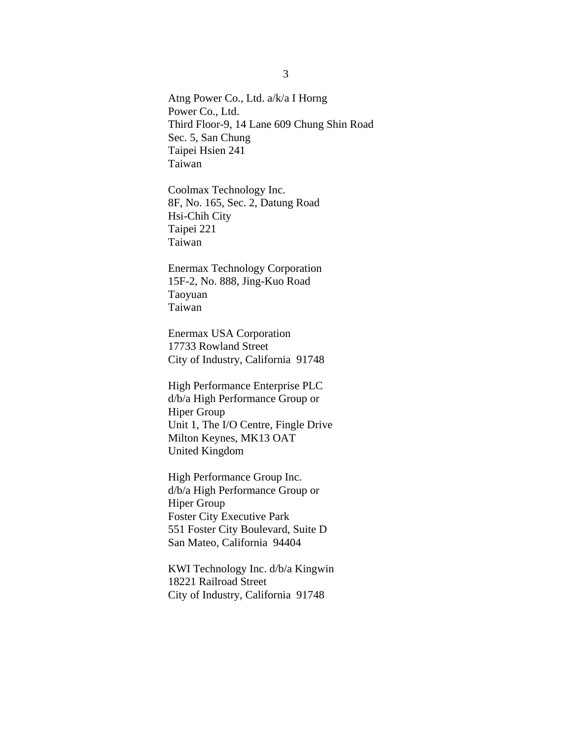Atng Power Co., Ltd. a/k/a I Horng Power Co., Ltd. Third Floor-9, 14 Lane 609 Chung Shin Road Sec. 5, San Chung Taipei Hsien 241 Taiwan

Coolmax Technology Inc. 8F, No. 165, Sec. 2, Datung Road Hsi-Chih City Taipei 221 Taiwan

Enermax Technology Corporation 15F-2, No. 888, Jing-Kuo Road Taoyuan Taiwan

Enermax USA Corporation 17733 Rowland Street City of Industry, California 91748

High Performance Enterprise PLC d/b/a High Performance Group or Hiper Group Unit 1, The I/O Centre, Fingle Drive Milton Keynes, MK13 OAT United Kingdom

High Performance Group Inc. d/b/a High Performance Group or Hiper Group Foster City Executive Park 551 Foster City Boulevard, Suite D San Mateo, California 94404

KWI Technology Inc. d/b/a Kingwin 18221 Railroad Street City of Industry, California 91748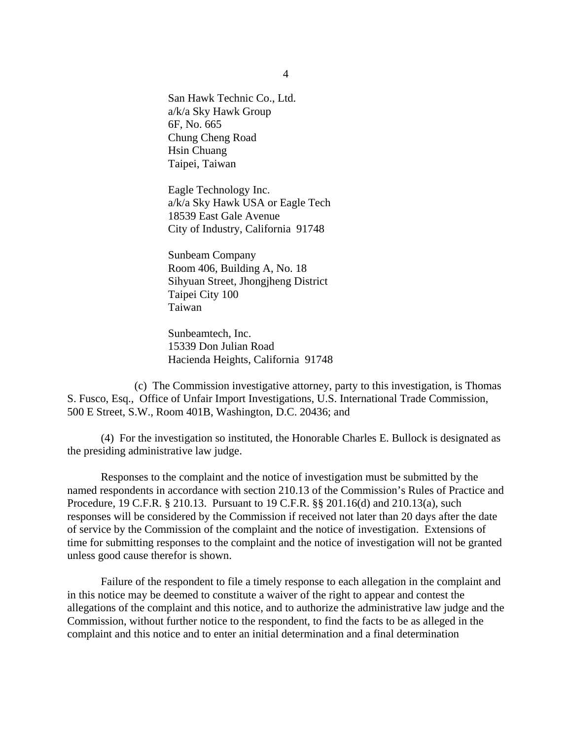San Hawk Technic Co., Ltd. a/k/a Sky Hawk Group 6F, No. 665 Chung Cheng Road Hsin Chuang Taipei, Taiwan

Eagle Technology Inc. a/k/a Sky Hawk USA or Eagle Tech 18539 East Gale Avenue City of Industry, California 91748

Sunbeam Company Room 406, Building A, No. 18 Sihyuan Street, Jhongjheng District Taipei City 100 Taiwan

Sunbeamtech, Inc. 15339 Don Julian Road Hacienda Heights, California 91748

(c) The Commission investigative attorney, party to this investigation, is Thomas S. Fusco, Esq., Office of Unfair Import Investigations, U.S. International Trade Commission, 500 E Street, S.W., Room 401B, Washington, D.C. 20436; and

(4) For the investigation so instituted, the Honorable Charles E. Bullock is designated as the presiding administrative law judge.

Responses to the complaint and the notice of investigation must be submitted by the named respondents in accordance with section 210.13 of the Commission's Rules of Practice and Procedure, 19 C.F.R. § 210.13. Pursuant to 19 C.F.R. §§ 201.16(d) and 210.13(a), such responses will be considered by the Commission if received not later than 20 days after the date of service by the Commission of the complaint and the notice of investigation. Extensions of time for submitting responses to the complaint and the notice of investigation will not be granted unless good cause therefor is shown.

Failure of the respondent to file a timely response to each allegation in the complaint and in this notice may be deemed to constitute a waiver of the right to appear and contest the allegations of the complaint and this notice, and to authorize the administrative law judge and the Commission, without further notice to the respondent, to find the facts to be as alleged in the complaint and this notice and to enter an initial determination and a final determination